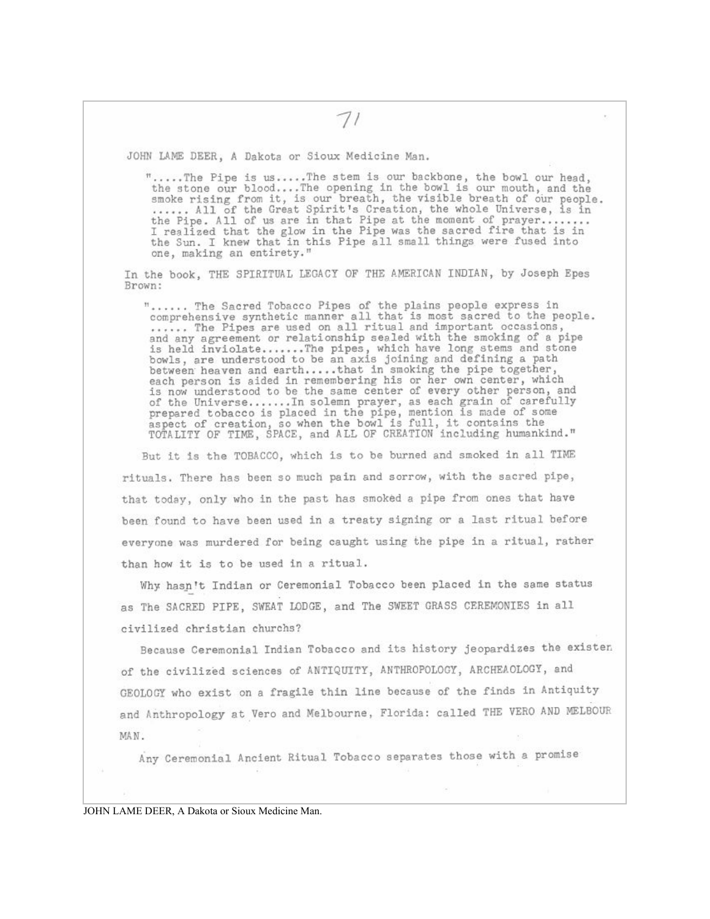JOHN LAME DEER, A Dakota or Sioux Medicine Man.

".....The Pipe is us.....The stem is our backbone, the bowl our head. the stone our blood....The opening in the bowl is our mouth, and the smoke rising from it, is our breath, the visible breath of our people. ....... All of the Great Spirit's Creation, the whole Universe, is in<br>the Pipe. All of us are in that Pipe at the moment of prayer........<br>I realized that the glow in the Pipe was the sacred fire that is in the Sun. I knew that in this Pipe all small things were fused into one, making an entirety."

In the book, THE SPIRITUAL LEGACY OF THE AMERICAN INDIAN, by Joseph Epes Brown:

"...... The Sacred Tobacco Pipes of the plains people express in comprehensive synthetic manner all that is most sacred to the people. ...... The Pipes are used on all ritual and important occasions, indiany agreement or relationship sealed with the smoking of a pipe<br>is held inviolate.......The pipes, which have long stems and stone<br>bowls, are understood to be an axis joining and defining a path between heaven and earth.....that in smoking the pipe together, each person is aided in remembering his or her own center, which<br>is now understood to be the same center of every other person, and of the Universe....... In solemn prayer, as each grain of carefully prepared tobacco is placed in the pipe, mention is made of some aspect of creation, so when the bowl is full, it contains the TOTALITY OF TIME, SPACE, and ALL OF CREATION including humankind."

But it is the TOBACCO, which is to be burned and smoked in all TIME rituals. There has been so much pain and sorrow, with the sacred pipe, that today, only who in the past has smoked a pipe from ones that have been found to have been used in a treaty signing or a last ritual before everyone was murdered for being caught using the pipe in a ritual, rather than how it is to be used in a ritual.

Why hasn't Indian or Ceremonial Tobacco been placed in the same status as The SACRED PIPE, SWEAT LODGE, and The SWEET GRASS CEREMONIES in all civilized christian churchs?

Because Ceremonial Indian Tobacco and its history jeopardizes the existen of the civilized sciences of ANTIQUITY, ANTHROPOLOGY, ARCHEAOLOGY, and GEOLOGY who exist on a fragile thin line because of the finds in Antiquity and Anthropology at Vero and Melbourne, Florida: called THE VERO AND MELBOUR MAN.

Any Ceremonial Ancient Ritual Tobacco separates those with a promise

JOHN LAME DEER, A Dakota or Sioux Medicine Man.